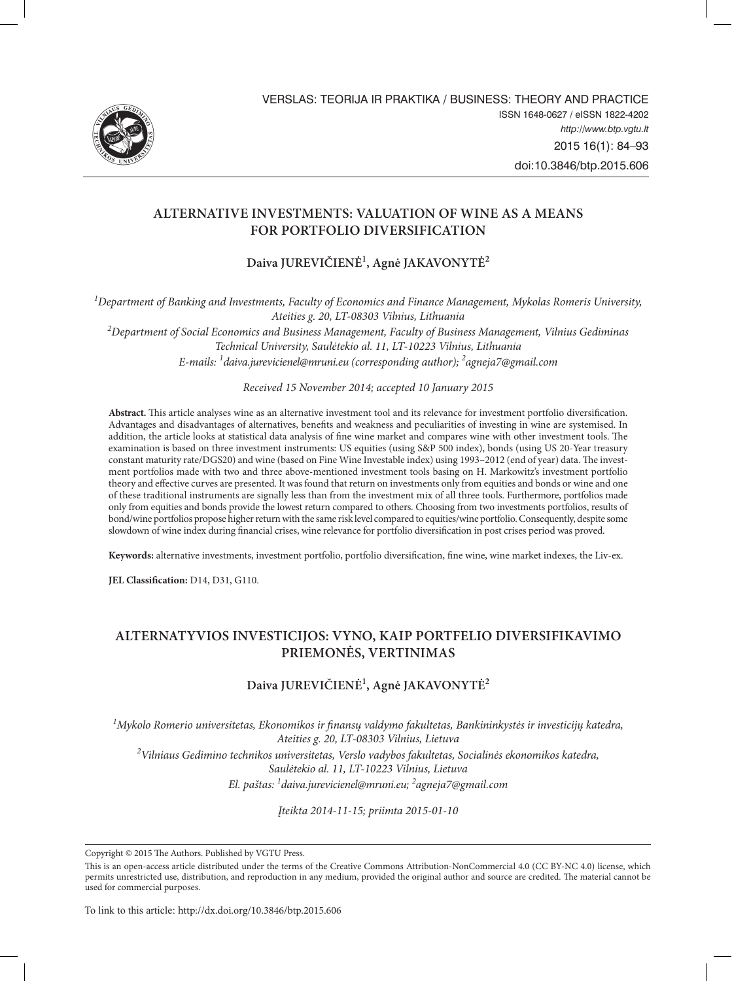

Verslas: Teorija ir praktika / Business: Theory and Practice Issn 1648-0627 / eIssn 1822-4202 *http://www.btp.vgtu.lt* 2015 16(1): 84–93 doi:10.3846/btp.2015.606

# **Alternative investments: valuation of wine as a means for portfolio diversification**

**Daiva JUREVIČIENĖ1 , Agnė JAKAVONYTĖ2**

*1 Department of Banking and Investments, Faculty of Economics and Finance Management, Mykolas Romeris University, Ateities g. 20, LT-08303 Vilnius, Lithuania*

*2 Department of Social Economics and Business Management, Faculty of Business Management, Vilnius Gediminas Technical University, Saulėtekio al. 11, LT-10223 Vilnius, Lithuania E-mails: 1 daiva.jurevicienel@mruni.eu (corresponding author); 2 agneja7@gmail.com*

*Received 15 November 2014; accepted 10 January 2015*

**Abstract.** This article analyses wine as an alternative investment tool and its relevance for investment portfolio diversification. Advantages and disadvantages of alternatives, benefits and weakness and peculiarities of investing in wine are systemised. In addition, the article looks at statistical data analysis of fine wine market and compares wine with other investment tools. The examination is based on three investment instruments: US equities (using S&P 500 index), bonds (using US 20-Year treasury constant maturity rate/DGS20) and wine (based on Fine Wine Investable index) using 1993–2012 (end of year) data. The investment portfolios made with two and three above-mentioned investment tools basing on H. Markowitz's investment portfolio theory and effective curves are presented. It was found that return on investments only from equities and bonds or wine and one of these traditional instruments are signally less than from the investment mix of all three tools. Furthermore, portfolios made only from equities and bonds provide the lowest return compared to others. Choosing from two investments portfolios, results of bond/wine portfolios propose higher return with the same risk level compared to equities/wine portfolio. Consequently, despite some slowdown of wine index during financial crises, wine relevance for portfolio diversification in post crises period was proved.

**Keywords:** alternative investments, investment portfolio, portfolio diversification, fine wine, wine market indexes, the Liv-ex.

**JEL Classification:** D14, D31, G110.

# **alternatyvios investicijos: vyno, kaip portfelio diversifikavimo priemonės, vertinImas**

# **Daiva JUREVIČIENĖ1 , Agnė JAKAVONYTĖ2**

<sup>1</sup>Mykolo Romerio universitetas, Ekonomikos ir finansų valdymo fakultetas, Bankininkystės ir investicijų katedra, *Ateities g. 20, LT-08303 Vilnius, Lietuva 2 Vilniaus Gedimino technikos universitetas, Verslo vadybos fakultetas, Socialinės ekonomikos katedra, Saulėtekio al. 11, LT-10223 Vilnius, Lietuva*

*El. paštas: 1 daiva.jurevicienel@mruni.eu; 2 agneja7@gmail.com*

*Įteikta 2014-11-15; priimta 2015-01-10*

Copyright © 2015 The Authors. Published by VGTU Press.

To link to this article: http://dx.doi.org/10.3846/btp.2015.606

This is an open-access article distributed under the terms of the Creative Commons Attribution-NonCommercial 4.0 (CC BY-NC 4.0) license, which permits unrestricted use, distribution, and reproduction in any medium, provided the original author and source are credited. The material cannot be used for commercial purposes.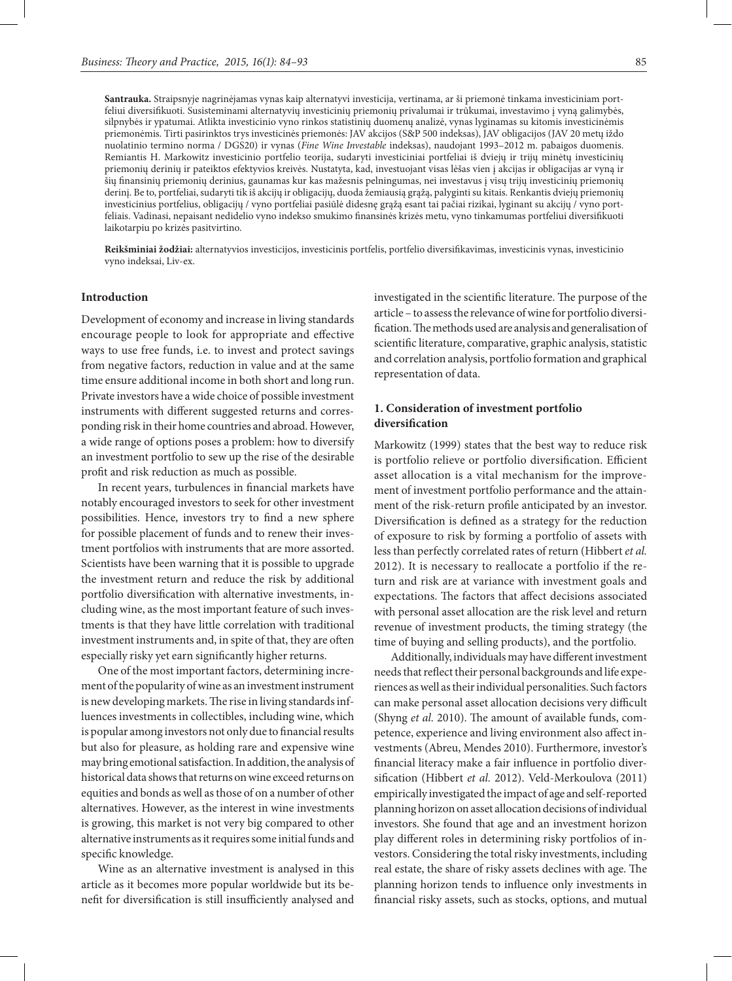**Santrauka.** Straipsnyje nagrinėjamas vynas kaip alternatyvi investicija, vertinama, ar ši priemonė tinkama investiciniam portfeliui diversifikuoti. Susisteminami alternatyvių investicinių priemonių privalumai ir trūkumai, investavimo į vyną galimybės, silpnybės ir ypatumai. Atlikta investicinio vyno rinkos statistinių duomenų analizė, vynas lyginamas su kitomis investicinėmis priemonėmis. Tirti pasirinktos trys investicinės priemonės: JAV akcijos (S&P 500 indeksas), JAV obligacijos (JAV 20 metų iždo nuolatinio termino norma / DGS20) ir vynas (*Fine Wine Investable* indeksas), naudojant 1993–2012 m. pabaigos duomenis. Remiantis H. Markowitz investicinio portfelio teorija, sudaryti investiciniai portfeliai iš dviejų ir trijų minėtų investicinių priemonių derinių ir pateiktos efektyvios kreivės. Nustatyta, kad, investuojant visas lėšas vien į akcijas ir obligacijas ar vyną ir šių finansinių priemonių derinius, gaunamas kur kas mažesnis pelningumas, nei investavus į visų trijų investicinių priemonių derinį. Be to, portfeliai, sudaryti tik iš akcijų ir obligacijų, duoda žemiausią grąžą, palyginti su kitais. Renkantis dviejų priemonių investicinius portfelius, obligacijų / vyno portfeliai pasiūlė didesnę grąžą esant tai pačiai rizikai, lyginant su akcijų / vyno portfeliais. Vadinasi, nepaisant nedidelio vyno indekso smukimo finansinės krizės metu, vyno tinkamumas portfeliui diversifikuoti laikotarpiu po krizės pasitvirtino.

**Reikšminiai žodžiai:** alternatyvios investicijos, investicinis portfelis, portfelio diversifikavimas, investicinis vynas, investicinio vyno indeksai, Liv-ex.

### **Introduction**

Development of economy and increase in living standards encourage people to look for appropriate and effective ways to use free funds, i.e. to invest and protect savings from negative factors, reduction in value and at the same time ensure additional income in both short and long run. Private investors have a wide choice of possible investment instruments with different suggested returns and corresponding risk in their home countries and abroad. However, a wide range of options poses a problem: how to diversify an investment portfolio to sew up the rise of the desirable profit and risk reduction as much as possible.

In recent years, turbulences in financial markets have notably encouraged investors to seek for other investment possibilities. Hence, investors try to find a new sphere for possible placement of funds and to renew their investment portfolios with instruments that are more assorted. Scientists have been warning that it is possible to upgrade the investment return and reduce the risk by additional portfolio diversification with alternative investments, including wine, as the most important feature of such investments is that they have little correlation with traditional investment instruments and, in spite of that, they are often especially risky yet earn significantly higher returns.

One of the most important factors, determining increment of the popularity of wine as an investment instrument is new developing markets. The rise in living standards influences investments in collectibles, including wine, which is popular among investors not only due to financial results but also for pleasure, as holding rare and expensive wine may bring emotional satisfaction. In addition, the analysis of historical data shows that returns on wine exceed returns on equities and bonds as well as those of on a number of other alternatives. However, as the interest in wine investments is growing, this market is not very big compared to other alternative instruments as it requires some initial funds and specific knowledge.

Wine as an alternative investment is analysed in this article as it becomes more popular worldwide but its benefit for diversification is still insufficiently analysed and investigated in the scientific literature. The purpose of the article – to assess the relevance of wine for portfolio diversification. The methods used are analysis and generalisation of scientific literature, comparative, graphic analysis, statistic and correlation analysis, portfolio formation and graphical representation of data.

## **1. Consideration of investment portfolio diversification**

Markowitz (1999) states that the best way to reduce risk is portfolio relieve or portfolio diversification. Efficient asset allocation is a vital mechanism for the improvement of investment portfolio performance and the attainment of the risk-return profile anticipated by an investor. Diversification is defined as a strategy for the reduction of exposure to risk by forming a portfolio of assets with less than perfectly correlated rates of return (Hibbert *et al.* 2012). It is necessary to reallocate a portfolio if the return and risk are at variance with investment goals and expectations. The factors that affect decisions associated with personal asset allocation are the risk level and return revenue of investment products, the timing strategy (the time of buying and selling products), and the portfolio.

Additionally, individuals may have different investment needs that reflect their personal backgrounds and life experiences as well as their individual personalities. Such factors can make personal asset allocation decisions very difficult (Shyng *et al.* 2010). The amount of available funds, competence, experience and living environment also affect investments (Abreu, Mendes 2010). Furthermore, investor's financial literacy make a fair influence in portfolio diversification (Hibbert *et al.* 2012). Veld-Merkoulova (2011) empirically investigated the impact of age and self-reported planning horizon on asset allocation decisions of individual investors. She found that age and an investment horizon play different roles in determining risky portfolios of investors. Considering the total risky investments, including real estate, the share of risky assets declines with age. The planning horizon tends to influence only investments in financial risky assets, such as stocks, options, and mutual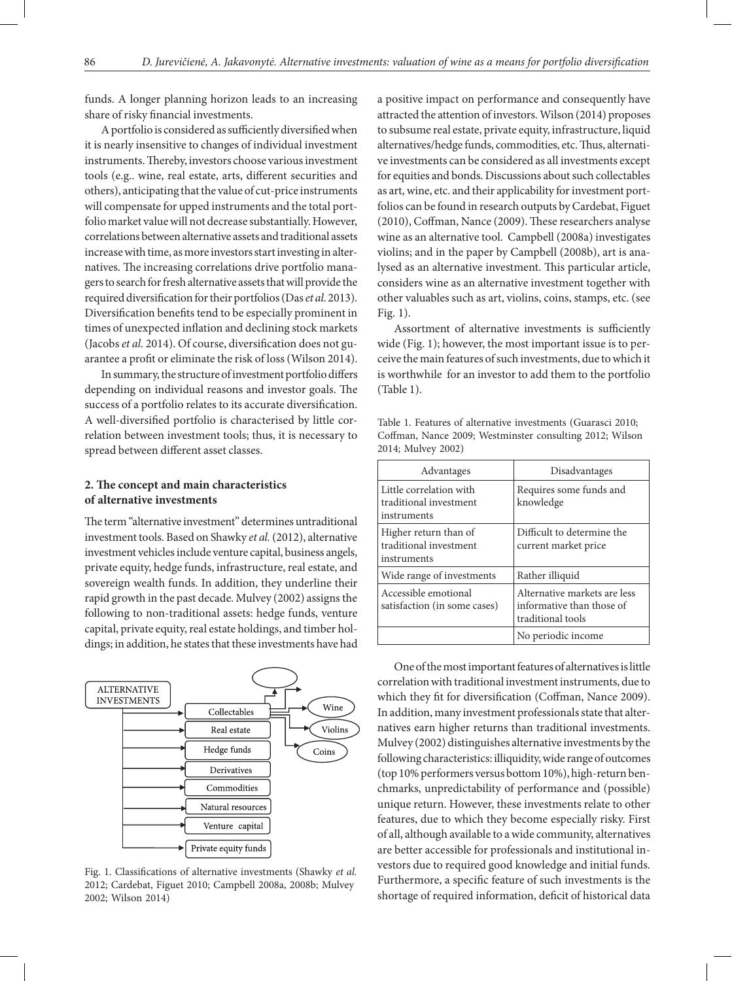funds. A longer planning horizon leads to an increasing share of risky financial investments.

A portfolio is considered as sufficiently diversified when it is nearly insensitive to changes of individual investment instruments. Thereby, investors choose various investment tools (e.g.. wine, real estate, arts, different securities and others), anticipating that the value of cut-price instruments will compensate for upped instruments and the total portfolio market value will not decrease substantially. However, correlations between alternative assets and traditional assets increase with time, as more investors start investing in alternatives. The increasing correlations drive portfolio managers to search for fresh alternative assets that will provide the required diversification for their portfolios (Das *et al.* 2013). Diversification benefits tend to be especially prominent in times of unexpected inflation and declining stock markets (Jacobs *et al.* 2014). Of course, diversification does not guarantee a profit or eliminate the risk of loss (Wilson 2014).

In summary, the structure of investment portfolio differs depending on individual reasons and investor goals. The success of a portfolio relates to its accurate diversification. A well-diversified portfolio is characterised by little correlation between investment tools; thus, it is necessary to spread between different asset classes.

# **2. The concept and main characteristics of alternative investments**

The term "alternative investment" determines untraditional investment tools. Based on Shawky *et al.* (2012), alternative investment vehicles include venture capital, business angels, private equity, hedge funds, infrastructure, real estate, and sovereign wealth funds. In addition, they underline their rapid growth in the past decade. Mulvey (2002) assigns the following to non-traditional assets: hedge funds, venture capital, private equity, real estate holdings, and timber holdings; in addition, he states that these investments have had



Fig. 1. Classifications of alternative investments (Shawky *et al.* 2012; Cardebat, Figuet 2010; Campbell 2008a, 2008b; Mulvey 2002; Wilson 2014)

a positive impact on performance and consequently have attracted the attention of investors. Wilson (2014) proposes to subsume real estate, private equity, infrastructure, liquid alternatives/hedge funds, commodities, etc. Thus, alternative investments can be considered as all investments except for equities and bonds. Discussions about such collectables as art, wine, etc. and their applicability for investment portfolios can be found in research outputs by Cardebat, Figuet (2010), Coffman, Nance (2009). These researchers analyse wine as an alternative tool. Campbell (2008a) investigates violins; and in the paper by Campbell (2008b), art is analysed as an alternative investment. This particular article, considers wine as an alternative investment together with other valuables such as art, violins, coins, stamps, etc. (see Fig. 1).

Assortment of alternative investments is sufficiently wide (Fig. 1); however, the most important issue is to perceive the main features of such investments, due to which it is worthwhile for an investor to add them to the portfolio (Table 1).

| 2014; Mulvey 2002)                                               |                                                                                |  |
|------------------------------------------------------------------|--------------------------------------------------------------------------------|--|
| Advantages                                                       | Disadvantages                                                                  |  |
| Little correlation with<br>traditional investment<br>instruments | Requires some funds and<br>knowledge                                           |  |
| Higher return than of<br>traditional investment<br>instruments   | Difficult to determine the<br>current market price                             |  |
| Wide range of investments                                        | Rather illiquid                                                                |  |
| Accessible emotional<br>satisfaction (in some cases)             | Alternative markets are less<br>informative than those of<br>traditional tools |  |
|                                                                  | No periodic income                                                             |  |

Table 1. Features of alternative investments (Guarasci 2010; Coffman, Nance 2009; Westminster consulting 2012; Wilson 2014; Mulvey 2002)

One of the most important features of alternatives is little correlation with traditional investment instruments, due to which they fit for diversification (Coffman, Nance 2009). In addition, many investment professionals state that alternatives earn higher returns than traditional investments. Mulvey (2002) distinguishes alternative investments by the following characteristics: illiquidity, wide range of outcomes (top 10% performers versus bottom 10%), high-return benchmarks, unpredictability of performance and (possible) unique return. However, these investments relate to other features, due to which they become especially risky. First of all, although available to a wide community, alternatives are better accessible for professionals and institutional investors due to required good knowledge and initial funds. Furthermore, a specific feature of such investments is the shortage of required information, deficit of historical data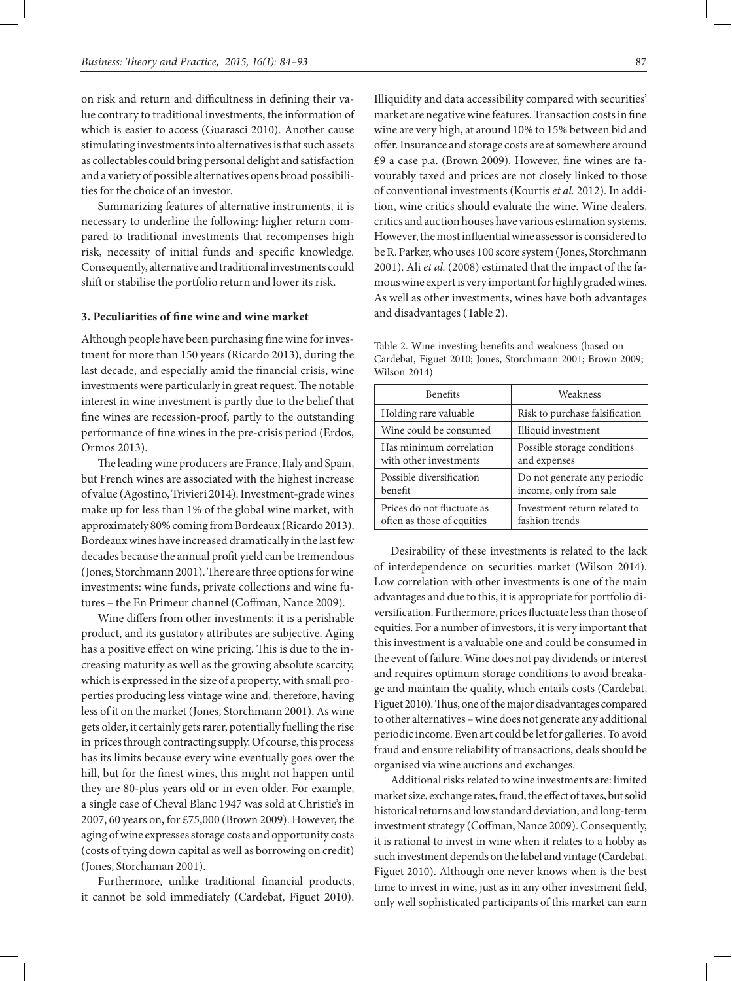on risk and return and difficultness in defining their value contrary to traditional investments, the information of which is easier to access (Guarasci 2010). Another cause stimulating investments into alternatives is that such assets as collectables could bring personal delight and satisfaction and a variety of possible alternatives opens broad possibilities for the choice of an investor.

Summarizing features of alternative instruments, it is necessary to underline the following: higher return compared to traditional investments that recompenses high risk, necessity of initial funds and specific knowledge. Consequently, alternative and traditional investments could shift or stabilise the portfolio return and lower its risk.

#### **3. Peculiarities of fine wine and wine market**

Although people have been purchasing fine wine for investment for more than 150 years (Ricardo 2013), during the last decade, and especially amid the financial crisis, wine investments were particularly in great request. The notable interest in wine investment is partly due to the belief that fine wines are recession-proof, partly to the outstanding performance of fine wines in the pre-crisis period (Erdos, Ormos 2013).

The leading wine producers are France, Italy and Spain, but French wines are associated with the highest increase of value (Agostino, Trivieri 2014). Investment-grade wines make up for less than 1% of the global wine market, with approximately 80% coming from Bordeaux (Ricardo 2013). Bordeaux wines have increased dramatically in the last few decades because the annual profit yield can be tremendous (Jones, Storchmann 2001). There are three options for wine investments: wine funds, private collections and wine futures – the En Primeur channel (Coffman, Nance 2009).

Wine differs from other investments: it is a perishable product, and its gustatory attributes are subjective. Aging has a positive effect on wine pricing. This is due to the increasing maturity as well as the growing absolute scarcity, which is expressed in the size of a property, with small properties producing less vintage wine and, therefore, having less of it on the market (Jones, Storchmann 2001). As wine gets older, it certainly gets rarer, potentially fuelling the rise in prices through contracting supply. Of course, this process has its limits because every wine eventually goes over the hill, but for the finest wines, this might not happen until they are 80-plus years old or in even older. For example, a single case of Cheval Blanc 1947 was sold at Christie's in 2007, 60 years on, for £75,000 (Brown 2009). However, the aging of wine expresses storage costs and opportunity costs (costs of tying down capital as well as borrowing on credit) (Jones, Storchaman 2001).

Furthermore, unlike traditional financial products, it cannot be sold immediately (Cardebat, Figuet 2010).

Illiquidity and data accessibility compared with securities' market are negative wine features. Transaction costs in fine wine are very high, at around 10% to 15% between bid and offer. Insurance and storage costs are at somewhere around £9 a case p.a. (Brown 2009). However, fine wines are favourably taxed and prices are not closely linked to those of conventional investments (Kourtis *et al.* 2012). In addition, wine critics should evaluate the wine. Wine dealers, critics and auction houses have various estimation systems. However, the most influential wine assessor is considered to be R. Parker, who uses 100 score system (Jones, Storchmann 2001). Ali *et al.* (2008) estimated that the impact of the famous wine expert is very important for highly graded wines. As well as other investments, wines have both advantages and disadvantages (Table 2).

Table 2. Wine investing benefits and weakness (based on Cardebat, Figuet 2010; Jones, Storchmann 2001; Brown 2009; Wilson 2014)

| <b>Benefits</b>            | Weakness                       |  |
|----------------------------|--------------------------------|--|
| Holding rare valuable      | Risk to purchase falsification |  |
| Wine could be consumed     | Illiquid investment            |  |
| Has minimum correlation    | Possible storage conditions    |  |
| with other investments     | and expenses                   |  |
| Possible diversification   | Do not generate any periodic   |  |
| benefit                    | income, only from sale         |  |
| Prices do not fluctuate as | Investment return related to   |  |
| often as those of equities | fashion trends                 |  |

Desirability of these investments is related to the lack of interdependence on securities market (Wilson 2014). Low correlation with other investments is one of the main advantages and due to this, it is appropriate for portfolio diversification. Furthermore, prices fluctuate less than those of equities. For a number of investors, it is very important that this investment is a valuable one and could be consumed in the event of failure. Wine does not pay dividends or interest and requires optimum storage conditions to avoid breakage and maintain the quality, which entails costs (Cardebat, Figuet 2010). Thus, one of the major disadvantages compared to other alternatives – wine does not generate any additional periodic income. Even art could be let for galleries. To avoid fraud and ensure reliability of transactions, deals should be organised via wine auctions and exchanges.

Additional risks related to wine investments are: limited market size, exchange rates, fraud, the effect of taxes, but solid historical returns and low standard deviation, and long-term investment strategy (Coffman, Nance 2009). Consequently, it is rational to invest in wine when it relates to a hobby as such investment depends on the label and vintage (Cardebat, Figuet 2010). Although one never knows when is the best time to invest in wine, just as in any other investment field, only well sophisticated participants of this market can earn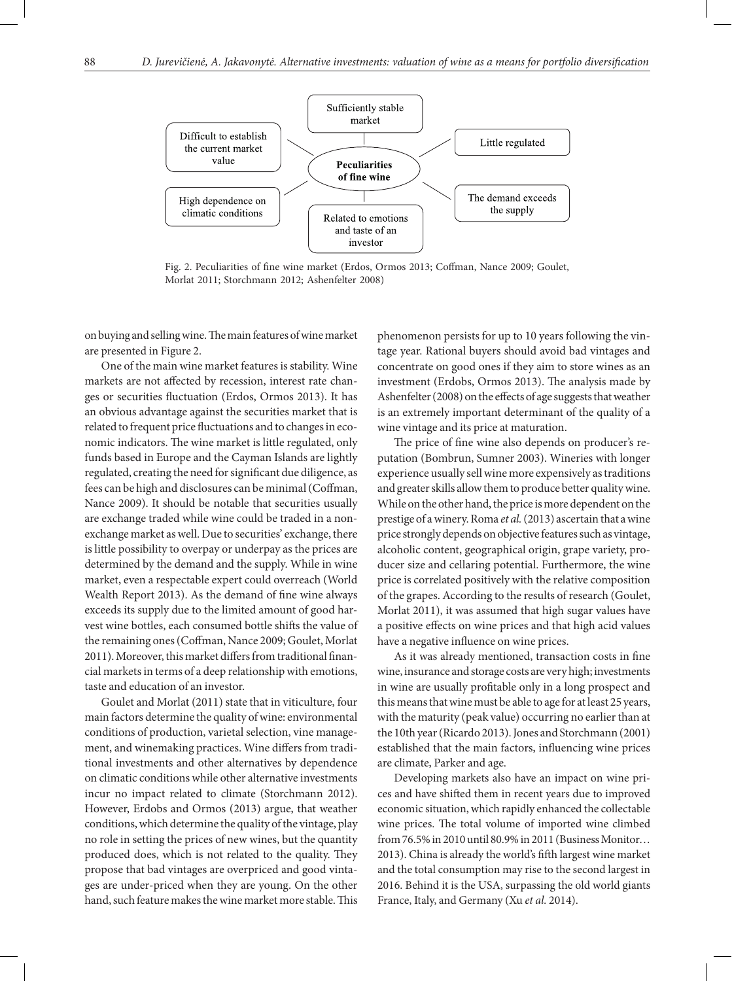

Fig. 2. Peculiarities of fine wine market (Erdos, Ormos 2013; Coffman, Nance 2009; Goulet, Morlat 2011; Storchmann 2012; Ashenfelter 2008)

on buying and selling wine. The main features of wine market are presented in Figure 2.

One of the main wine market features is stability. Wine markets are not affected by recession, interest rate changes or securities fluctuation (Erdos, Ormos 2013). It has an obvious advantage against the securities market that is related to frequent price fluctuations and to changes in economic indicators. The wine market is little regulated, only funds based in Europe and the Cayman Islands are lightly regulated, creating the need for significant due diligence, as fees can be high and disclosures can be minimal (Coffman, Nance 2009). It should be notable that securities usually are exchange traded while wine could be traded in a nonexchange market as well. Due to securities' exchange, there is little possibility to overpay or underpay as the prices are determined by the demand and the supply. While in wine market, even a respectable expert could overreach (World Wealth Report 2013). As the demand of fine wine always exceeds its supply due to the limited amount of good harvest wine bottles, each consumed bottle shifts the value of the remaining ones (Coffman, Nance 2009; Goulet, Morlat 2011). Moreover, this market differs from traditional financial markets in terms of a deep relationship with emotions, taste and education of an investor.

Goulet and Morlat (2011) state that in viticulture, four main factors determine the quality of wine: environmental conditions of production, varietal selection, vine management, and winemaking practices. Wine differs from traditional investments and other alternatives by dependence on climatic conditions while other alternative investments incur no impact related to climate (Storchmann 2012). However, Erdobs and Ormos (2013) argue, that weather conditions, which determine the quality of the vintage, play no role in setting the prices of new wines, but the quantity produced does, which is not related to the quality. They propose that bad vintages are overpriced and good vintages are under-priced when they are young. On the other hand, such feature makes the wine market more stable. This

phenomenon persists for up to 10 years following the vintage year. Rational buyers should avoid bad vintages and concentrate on good ones if they aim to store wines as an investment (Erdobs, Ormos 2013). The analysis made by Ashenfelter (2008) on the effects of age suggests that weather is an extremely important determinant of the quality of a wine vintage and its price at maturation.

The price of fine wine also depends on producer's reputation (Bombrun, Sumner 2003). Wineries with longer experience usually sell wine more expensively as traditions and greater skills allow them to produce better quality wine. While on the other hand, the price is more dependent on the prestige of a winery. Roma *et al.* (2013) ascertain that a wine price strongly depends on objective features such as vintage, alcoholic content, geographical origin, grape variety, producer size and cellaring potential. Furthermore, the wine price is correlated positively with the relative composition of the grapes. According to the results of research (Goulet, Morlat 2011), it was assumed that high sugar values have a positive effects on wine prices and that high acid values have a negative influence on wine prices.

As it was already mentioned, transaction costs in fine wine, insurance and storage costs are very high; investments in wine are usually profitable only in a long prospect and this means that wine must be able to age for at least 25 years, with the maturity (peak value) occurring no earlier than at the 10th year (Ricardo 2013). Jones and Storchmann (2001) established that the main factors, influencing wine prices are climate, Parker and age.

Developing markets also have an impact on wine prices and have shifted them in recent years due to improved economic situation, which rapidly enhanced the collectable wine prices. The total volume of imported wine climbed from 76.5% in 2010 until 80.9% in 2011 (Business Monitor… 2013). China is already the world's fifth largest wine market and the total consumption may rise to the second largest in 2016. Behind it is the USA, surpassing the old world giants France, Italy, and Germany (Xu *et al.* 2014).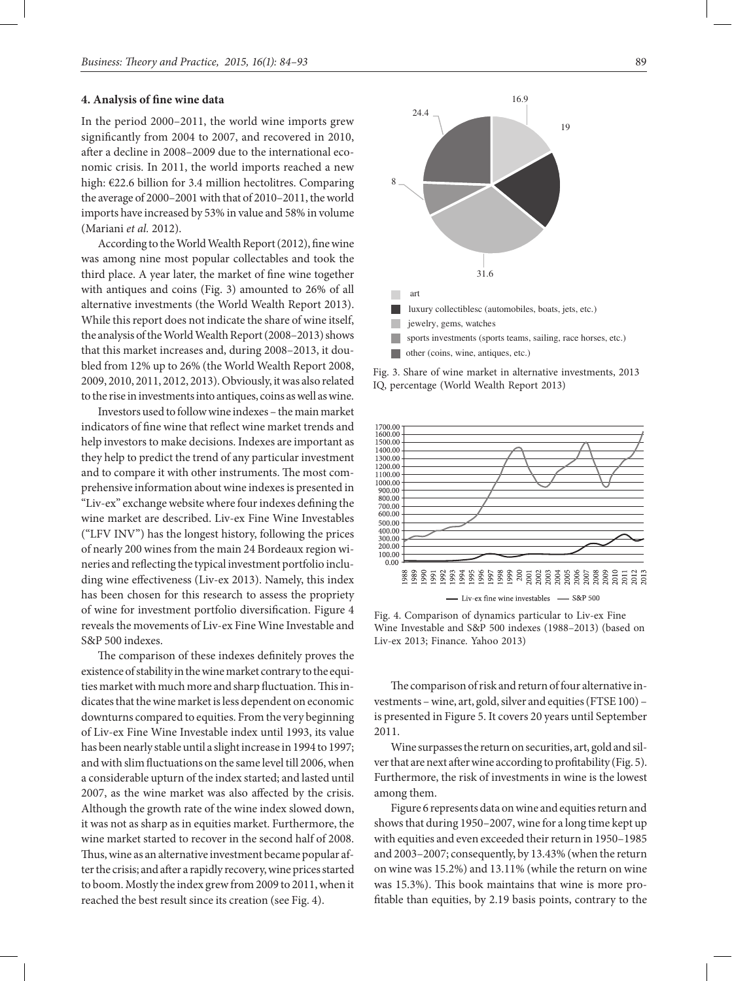### **4. Analysis of fine wine data**

In the period 2000–2011, the world wine imports grew significantly from 2004 to 2007, and recovered in 2010, after a decline in 2008–2009 due to the international economic crisis. In 2011, the world imports reached a new high: €22.6 billion for 3.4 million hectolitres. Comparing the average of 2000–2001 with that of 2010–2011, the world imports have increased by 53% in value and 58% in volume (Mariani *et al.* 2012).

According to the World Wealth Report (2012), fine wine was among nine most popular collectables and took the third place. A year later, the market of fine wine together with antiques and coins (Fig. 3) amounted to 26% of all alternative investments (the World Wealth Report 2013). While this report does not indicate the share of wine itself, the analysis of the World Wealth Report (2008–2013) shows that this market increases and, during 2008–2013, it doubled from 12% up to 26% (the World Wealth Report 2008, 2009, 2010, 2011, 2012, 2013). Obviously, it was also related to the rise in investments into antiques, coins as well as wine.

Investors used to follow wine indexes – the main market indicators of fine wine that reflect wine market trends and help investors to make decisions. Indexes are important as they help to predict the trend of any particular investment and to compare it with other instruments. The most comprehensive information about wine indexes is presented in "Liv-ex" exchange website where four indexes defining the wine market are described. Liv-ex Fine Wine Investables ("LFV INV") has the longest history, following the prices of nearly 200 wines from the main 24 Bordeaux region wineries and reflecting the typical investment portfolio including wine effectiveness (Liv-ex 2013). Namely, this index has been chosen for this research to assess the propriety of wine for investment portfolio diversification. Figure 4 reveals the movements of Liv-ex Fine Wine Investable and S&P 500 indexes.

The comparison of these indexes definitely proves the existence of stability in the wine market contrary to the equities market with much more and sharp fluctuation. This indicates that the wine market is less dependent on economic downturns compared to equities. From the very beginning of Liv-ex Fine Wine Investable index until 1993, its value has been nearly stable until a slight increase in 1994 to 1997; and with slim fluctuations on the same level till 2006, when a considerable upturn of the index started; and lasted until 2007, as the wine market was also affected by the crisis. Although the growth rate of the wine index slowed down, it was not as sharp as in equities market. Furthermore, the wine market started to recover in the second half of 2008. Thus, wine as an alternative investment became popular after the crisis; and after a rapidly recovery, wine prices started to boom. Mostly the index grew from 2009 to 2011, when it reached the best result since its creation (see Fig. 4).



Fig. 3. Share of wine market in alternative investments, 2013 IQ, percentage (World Wealth Report 2013)



Fig. 4. Comparison of dynamics particular to Liv-ex Fine Wine Investable and S&P 500 indexes (1988–2013) (based on Liv-ex 2013; Finance. Yahoo 2013)

The comparison of risk and return of four alternative investments – wine, art, gold, silver and equities (FTSE 100) – is presented in Figure 5. It covers 20 years until September 2011.

Wine surpasses the return on securities, art, gold and silver that are next after wine according to profitability (Fig. 5). Furthermore, the risk of investments in wine is the lowest among them.

Figure 6 represents data on wine and equities return and shows that during 1950–2007, wine for a long time kept up with equities and even exceeded their return in 1950–1985 and 2003–2007; consequently, by 13.43% (when the return on wine was 15.2%) and 13.11% (while the return on wine was 15.3%). This book maintains that wine is more profitable than equities, by 2.19 basis points, contrary to the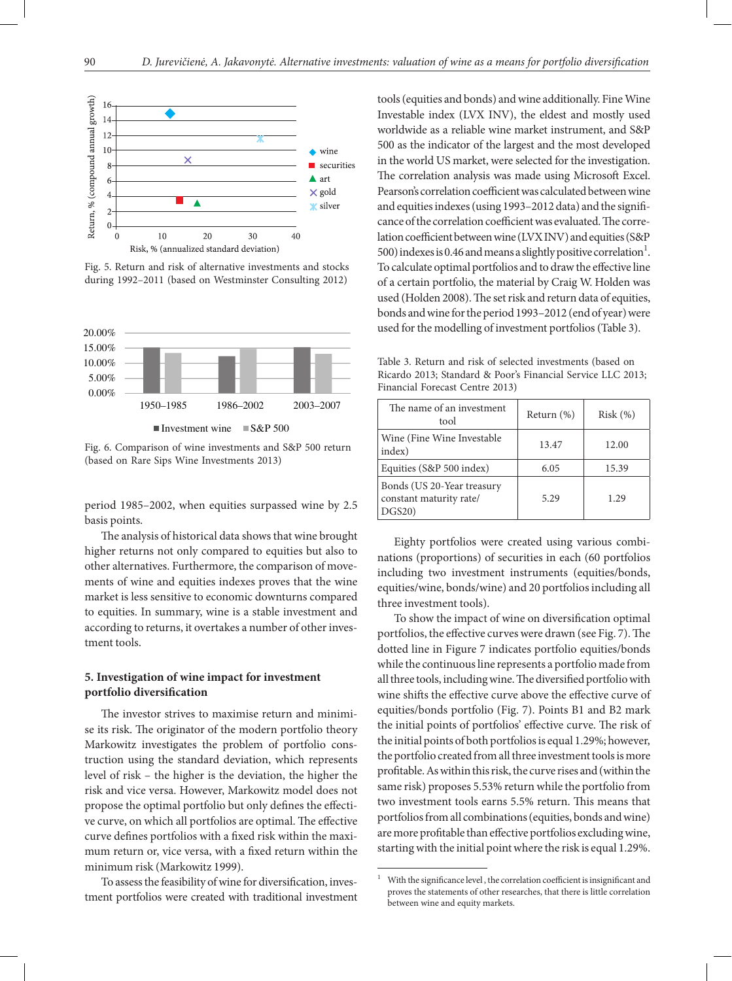

Fig. 5. Return and risk of alternative investments and stocks during 1992–2011 (based on Westminster Consulting 2012)



Investment wine  $\Box$  S&P 500

Fig. 6. Comparison of wine investments and S&P 500 return (based on Rare Sips Wine Investments 2013)

period 1985–2002, when equities surpassed wine by 2.5 basis points.

The analysis of historical data shows that wine brought higher returns not only compared to equities but also to other alternatives. Furthermore, the comparison of movements of wine and equities indexes proves that the wine market is less sensitive to economic downturns compared to equities. In summary, wine is a stable investment and according to returns, it overtakes a number of other investment tools.

## **5. Investigation of wine impact for investment portfolio diversification**

The investor strives to maximise return and minimise its risk. The originator of the modern portfolio theory Markowitz investigates the problem of portfolio construction using the standard deviation, which represents level of risk – the higher is the deviation, the higher the risk and vice versa. However, Markowitz model does not propose the optimal portfolio but only defines the effective curve, on which all portfolios are optimal. The effective curve defines portfolios with a fixed risk within the maximum return or, vice versa, with a fixed return within the minimum risk (Markowitz 1999).

To assess the feasibility of wine for diversification, investment portfolios were created with traditional investment tools (equities and bonds) and wine additionally. Fine Wine Investable index (LVX INV), the eldest and mostly used worldwide as a reliable wine market instrument, and S&P 500 as the indicator of the largest and the most developed in the world US market, were selected for the investigation. The correlation analysis was made using Microsoft Excel. Pearson's correlation coefficient was calculated between wine and equities indexes (using 1993–2012 data) and the significance of the correlation coefficient was evaluated. The correlation coefficient between wine (LVX INV) and equities (S&P 500) indexes is 0.46 and means a slightly positive correlation<sup>1</sup>. To calculate optimal portfolios and to draw the effective line of a certain portfolio, the material by Craig W. Holden was used (Holden 2008). The set risk and return data of equities, bonds and wine for the period 1993–2012 (end of year) were used for the modelling of investment portfolios (Table 3).

Table 3. Return and risk of selected investments (based on Ricardo 2013; Standard & Poor's Financial Service LLC 2013; Financial Forecast Centre 2013)

| The name of an investment<br>tool                              | Return $(\%)$ | Risk(%) |
|----------------------------------------------------------------|---------------|---------|
| Wine (Fine Wine Investable)<br>index)                          | 13.47         | 12.00   |
| Equities (S&P 500 index)                                       | 6.05          | 15.39   |
| Bonds (US 20-Year treasury<br>constant maturity rate/<br>DGS20 | 5.29          | 1.29    |

Eighty portfolios were created using various combinations (proportions) of securities in each (60 portfolios including two investment instruments (equities/bonds, equities/wine, bonds/wine) and 20 portfolios including all three investment tools).

To show the impact of wine on diversification optimal portfolios, the effective curves were drawn (see Fig. 7). The dotted line in Figure 7 indicates portfolio equities/bonds while the continuous line represents a portfolio made from all three tools, including wine. The diversified portfolio with wine shifts the effective curve above the effective curve of equities/bonds portfolio (Fig. 7). Points B1 and B2 mark the initial points of portfolios' effective curve. The risk of the initial points of both portfolios is equal 1.29%; however, the portfolio created from all three investment tools is more profitable. As within this risk, the curve rises and (within the same risk) proposes 5.53% return while the portfolio from two investment tools earns 5.5% return. This means that portfolios from all combinations (equities, bonds and wine) are more profitable than effective portfolios excluding wine, starting with the initial point where the risk is equal 1.29%.

With the significance level, the correlation coefficient is insignificant and proves the statements of other researches, that there is little correlation between wine and equity markets.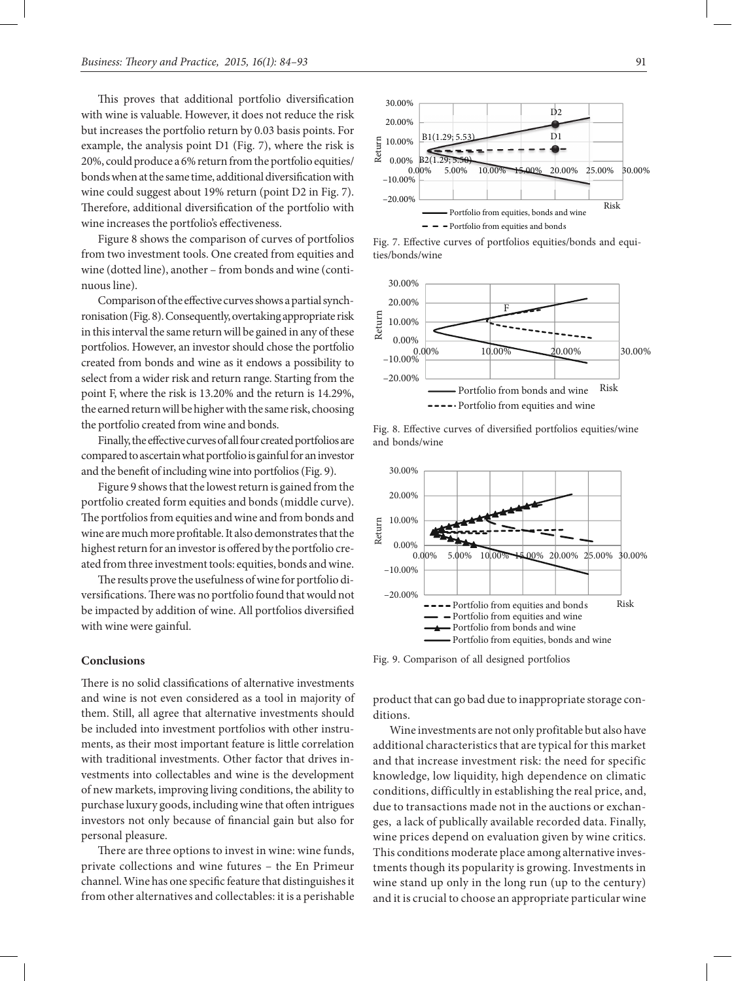This proves that additional portfolio diversification with wine is valuable. However, it does not reduce the risk but increases the portfolio return by 0.03 basis points. For example, the analysis point D1 (Fig. 7), where the risk is 20%, could produce a 6% return from the portfolio equities/ bonds when at the same time, additional diversification with wine could suggest about 19% return (point D2 in Fig. 7). Therefore, additional diversification of the portfolio with wine increases the portfolio's effectiveness.

Figure 8 shows the comparison of curves of portfolios from two investment tools. One created from equities and wine (dotted line), another – from bonds and wine (continuous line).

Comparison of the effective curves shows a partial synchronisation (Fig. 8). Consequently, overtaking appropriate risk in this interval the same return will be gained in any of these portfolios. However, an investor should chose the portfolio created from bonds and wine as it endows a possibility to select from a wider risk and return range. Starting from the point F, where the risk is 13.20% and the return is 14.29%, the earned return will be higher with the same risk, choosing the portfolio created from wine and bonds.

Finally, the effective curves of all four created portfolios are compared to ascertain what portfolio is gainful for an investor and the benefit of including wine into portfolios (Fig. 9).

Figure 9 shows that the lowest return is gained from the portfolio created form equities and bonds (middle curve). The portfolios from equities and wine and from bonds and wine are much more profitable. It also demonstrates that the highest return for an investor is offered by the portfolio created from three investment tools: equities, bonds and wine.

The results prove the usefulness of wine for portfolio diversifications. There was no portfolio found that would not be impacted by addition of wine. All portfolios diversified with wine were gainful.

#### **Conclusions**

There is no solid classifications of alternative investments and wine is not even considered as a tool in majority of them. Still, all agree that alternative investments should be included into investment portfolios with other instruments, as their most important feature is little correlation with traditional investments. Other factor that drives investments into collectables and wine is the development of new markets, improving living conditions, the ability to purchase luxury goods, including wine that often intrigues investors not only because of financial gain but also for personal pleasure.

There are three options to invest in wine: wine funds, private collections and wine futures – the En Primeur channel. Wine has one specific feature that distinguishes it from other alternatives and collectables: it is a perishable



Fig. 7. Effective curves of portfolios equities/bonds and equities/bonds/wine



Fig. 8. Effective curves of diversified portfolios equities/wine and bonds/wine



Fig. 9. Comparison of all designed portfolios

product that can go bad due to inappropriate storage conditions.

Wine investments are not only profitable but also have additional characteristics that are typical for this market and that increase investment risk: the need for specific knowledge, low liquidity, high dependence on climatic conditions, difficultly in establishing the real price, and, due to transactions made not in the auctions or exchanges, a lack of publically available recorded data. Finally, wine prices depend on evaluation given by wine critics. This conditions moderate place among alternative investments though its popularity is growing. Investments in wine stand up only in the long run (up to the century) and it is crucial to choose an appropriate particular wine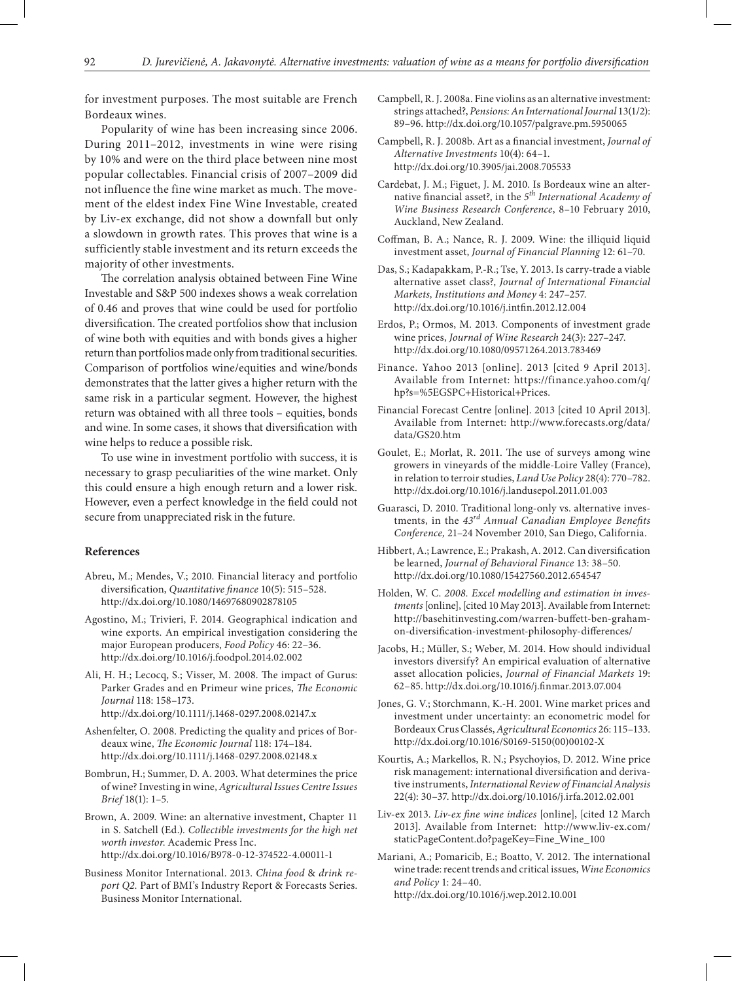for investment purposes. The most suitable are French Bordeaux wines.

Popularity of wine has been increasing since 2006. During 2011–2012, investments in wine were rising by 10% and were on the third place between nine most popular collectables. Financial crisis of 2007–2009 did not influence the fine wine market as much. The movement of the eldest index Fine Wine Investable, created by Liv-ex exchange, did not show a downfall but only a slowdown in growth rates. This proves that wine is a sufficiently stable investment and its return exceeds the majority of other investments.

The correlation analysis obtained between Fine Wine Investable and S&P 500 indexes shows a weak correlation of 0.46 and proves that wine could be used for portfolio diversification. The created portfolios show that inclusion of wine both with equities and with bonds gives a higher return than portfolios made only from traditional securities. Comparison of portfolios wine/equities and wine/bonds demonstrates that the latter gives a higher return with the same risk in a particular segment. However, the highest return was obtained with all three tools – equities, bonds and wine. In some cases, it shows that diversification with wine helps to reduce a possible risk.

To use wine in investment portfolio with success, it is necessary to grasp peculiarities of the wine market. Only this could ensure a high enough return and a lower risk. However, even a perfect knowledge in the field could not secure from unappreciated risk in the future.

#### **References**

- Abreu, M.; Mendes, V.; 2010. Financial literacy and portfolio diversification, *Quantitative finance* 10(5): 515–528. http://dx.doi.org/10.1080/14697680902878105
- Agostino, M.; Trivieri, F. 2014. Geographical indication and wine exports. An empirical investigation considering the major European producers, *Food Policy* 46: 22–36. http://dx.doi.org/10.1016/j.foodpol.2014.02.002
- Ali, H. H.; Lecocq, S.; Visser, M. 2008. The impact of Gurus: Parker Grades and en Primeur wine prices, *The Economic Journal* 118: 158–173. http://dx.doi.org/10.1111/j.1468-0297.2008.02147.x
- Ashenfelter, O. 2008. Predicting the quality and prices of Bordeaux wine, *The Economic Journal* 118: 174–184. http://dx.doi.org/10.1111/j.1468-0297.2008.02148.x
- Bombrun, H.; Summer, D. A. 2003. What determines the price of wine? Investing in wine, *Agricultural Issues Centre Issues Brief* 18(1): 1–5.
- Brown, A. 2009. Wine: an alternative investment, Chapter 11 in S. Satchell (Ed.). *Collectible investments for the high net worth investor*. Academic Press Inc. http://dx.doi.org/10.1016/B978-0-12-374522-4.00011-1
- Business Monitor International. 2013. *China food* & *drink report Q2.* Part of BMI's Industry Report & Forecasts Series. Business Monitor International.
- Campbell, R. J. 2008a. Fine violins as an alternative investment: strings attached?, *Pensions: An International Journal* 13(1/2): 89–96. http://dx.doi.org/10.1057/palgrave.pm.5950065
- Campbell, R. J. 2008b. Art as a financial investment, *Journal of Alternative Investments* 10(4): 64–1. http://dx.doi.org/10.3905/jai.2008.705533
- Cardebat, J. M.; Figuet, J. M. 2010. Is Bordeaux wine an alternative financial asset?, in the *5th International Academy of Wine Business Research Conference*, 8–10 February 2010, Auckland, New Zealand.
- Coffman, B. A.; Nance, R. J. 2009. Wine: the illiquid liquid investment asset, *Journal of Financial Planning* 12: 61–70.
- Das, S.; Kadapakkam, P.-R.; Tse, Y. 2013. Is carry-trade a viable alternative asset class?, *Journal of International Financial Markets, Institutions and Money* 4: 247–257. http://dx.doi.org/10.1016/j.intfin.2012.12.004
- Erdos, P.; Ormos, M. 2013. Components of investment grade wine prices, *Journal of Wine Research* 24(3): 227–247. http://dx.doi.org/10.1080/09571264.2013.783469
- Finance. Yahoo 2013 [online]. 2013 [cited 9 April 2013]. Available from Internet: https://finance.yahoo.com/q/ hp?s=%5EGSPC+Historical+Prices.
- Financial Forecast Centre [online]. 2013 [cited 10 April 2013]. Available from Internet: http://www.forecasts.org/data/ data/GS20.htm
- Goulet, E.; Morlat, R. 2011. The use of surveys among wine growers in vineyards of the middle-Loire Valley (France), in relation to terroir studies, *Land Use Policy* 28(4): 770–782. http://dx.doi.org/10.1016/j.landusepol.2011.01.003
- Guarasci, D. 2010. Traditional long-only vs. alternative investments, in the *43rd Annual Canadian Employee Benefits Conference,* 21–24 November 2010, San Diego, California.
- Hibbert, A.; Lawrence, E.; Prakash, A. 2012. Can diversification be learned, *Journal of Behavioral Finance* 13: 38–50. http://dx.doi.org/10.1080/15427560.2012.654547
- Holden, W. C. *2008. Excel modelling and estimation in investments* [online], [cited 10 May 2013]. Available from Internet: http://basehitinvesting.com/warren-buffett-ben-grahamon-diversification-investment-philosophy-differences/
- Jacobs, H.; Müller, S.; Weber, M. 2014. How should individual investors diversify? An empirical evaluation of alternative asset allocation policies, *Journal of Financial Markets* 19: 62–85. http://dx.doi.org/10.1016/j.finmar.2013.07.004
- Jones, G. V.; Storchmann, K.-H. 2001. Wine market prices and investment under uncertainty: an econometric model for Bordeaux Crus Classés, *Agricultural Economics* 26: 115–133. http://dx.doi.org/10.1016/S0169-5150(00)00102-X
- Kourtis, A.; Markellos, R. N.; Psychoyios, D. 2012. Wine price risk management: international diversification and derivative instruments, *International Review of Financial Analysis* 22(4): 30–37. http://dx.doi.org/10.1016/j.irfa.2012.02.001
- Liv-ex 2013. *Liv-ex fine wine indices* [online], [cited 12 March 2013]. Available from Internet: http://www.liv-ex.com/ staticPageContent.do?pageKey=Fine\_Wine\_100
- Mariani, A.; Pomaricib, E.; Boatto, V. 2012. The international wine trade: recent trends and critical issues, *Wine Economics and Policy* 1: 24–40. http://dx.doi.org/10.1016/j.wep.2012.10.001